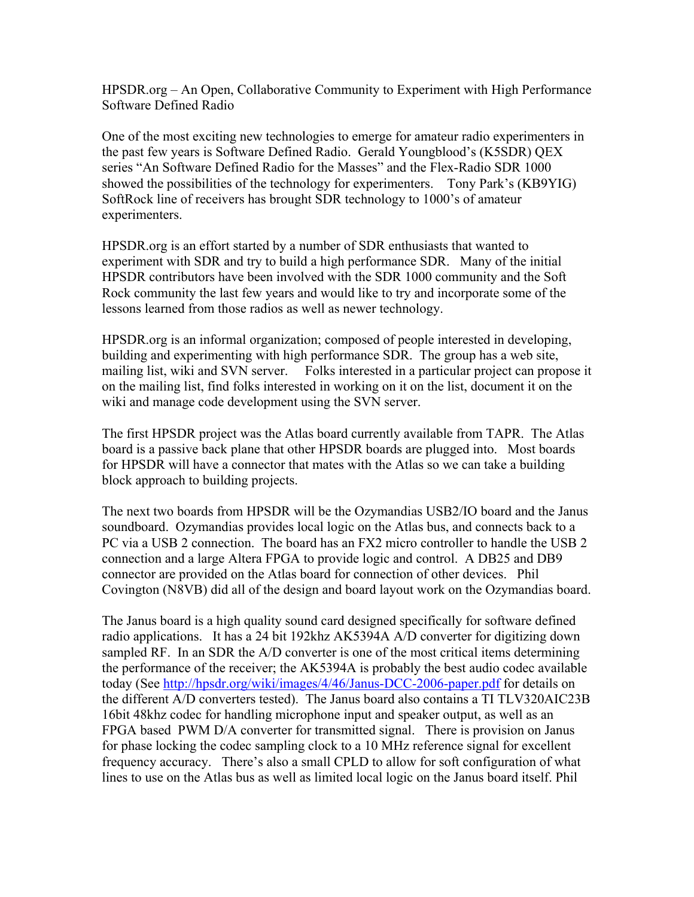HPSDR.org – An Open, Collaborative Community to Experiment with High Performance Software Defined Radio

One of the most exciting new technologies to emerge for amateur radio experimenters in the past few years is Software Defined Radio. Gerald Youngblood's (K5SDR) QEX series "An Software Defined Radio for the Masses" and the Flex-Radio SDR 1000 showed the possibilities of the technology for experimenters. Tony Park's (KB9YIG) SoftRock line of receivers has brought SDR technology to 1000's of amateur experimenters.

HPSDR.org is an effort started by a number of SDR enthusiasts that wanted to experiment with SDR and try to build a high performance SDR. Many of the initial HPSDR contributors have been involved with the SDR 1000 community and the Soft Rock community the last few years and would like to try and incorporate some of the lessons learned from those radios as well as newer technology.

HPSDR.org is an informal organization; composed of people interested in developing, building and experimenting with high performance SDR. The group has a web site, mailing list, wiki and SVN server. Folks interested in a particular project can propose it on the mailing list, find folks interested in working on it on the list, document it on the wiki and manage code development using the SVN server.

The first HPSDR project was the Atlas board currently available from TAPR. The Atlas board is a passive back plane that other HPSDR boards are plugged into. Most boards for HPSDR will have a connector that mates with the Atlas so we can take a building block approach to building projects.

The next two boards from HPSDR will be the Ozymandias USB2/IO board and the Janus soundboard. Ozymandias provides local logic on the Atlas bus, and connects back to a PC via a USB 2 connection. The board has an FX2 micro controller to handle the USB 2 connection and a large Altera FPGA to provide logic and control. A DB25 and DB9 connector are provided on the Atlas board for connection of other devices. Phil Covington (N8VB) did all of the design and board layout work on the Ozymandias board.

The Janus board is a high quality sound card designed specifically for software defined radio applications. It has a 24 bit 192khz AK5394A A/D converter for digitizing down sampled RF. In an SDR the A/D converter is one of the most critical items determining the performance of the receiver; the AK5394A is probably the best audio codec available today (See http://hpsdr.org/wiki/images/4/46/Janus-DCC-2006-paper.pdf for details on the different A/D converters tested). The Janus board also contains a TI TLV320AIC23B 16bit 48khz codec for handling microphone input and speaker output, as well as an FPGA based PWM D/A converter for transmitted signal. There is provision on Janus for phase locking the codec sampling clock to a 10 MHz reference signal for excellent frequency accuracy. There's also a small CPLD to allow for soft configuration of what lines to use on the Atlas bus as well as limited local logic on the Janus board itself. Phil